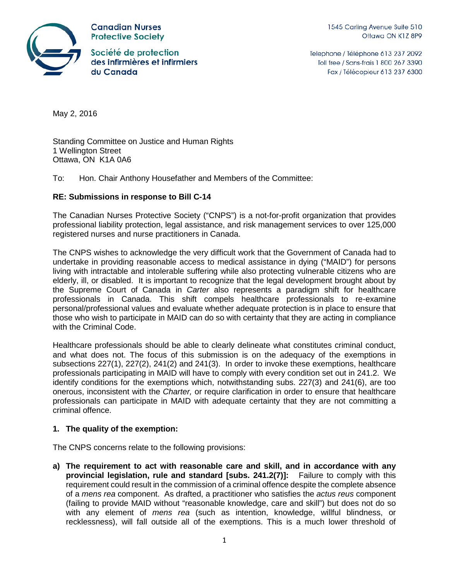

**Canadian Nurses Protective Society** 

Société de protection des infirmières et infirmiers du Canada

Telephone / Téléphone 613 237 2092 Toll free / Sans-frais 1 800 267 3390 Fax / Télécopieur 613 237 6300

May 2, 2016

Standing Committee on Justice and Human Rights 1 Wellington Street Ottawa, ON K1A 0A6

To: Hon. Chair Anthony Housefather and Members of the Committee:

## **RE: Submissions in response to Bill C-14**

The Canadian Nurses Protective Society ("CNPS") is a not-for-profit organization that provides professional liability protection, legal assistance, and risk management services to over 125,000 registered nurses and nurse practitioners in Canada.

The CNPS wishes to acknowledge the very difficult work that the Government of Canada had to undertake in providing reasonable access to medical assistance in dying ("MAID") for persons living with intractable and intolerable suffering while also protecting vulnerable citizens who are elderly, ill, or disabled. It is important to recognize that the legal development brought about by the Supreme Court of Canada in *Carter* also represents a paradigm shift for healthcare professionals in Canada. This shift compels healthcare professionals to re-examine personal/professional values and evaluate whether adequate protection is in place to ensure that those who wish to participate in MAID can do so with certainty that they are acting in compliance with the Criminal Code.

Healthcare professionals should be able to clearly delineate what constitutes criminal conduct, and what does not. The focus of this submission is on the adequacy of the exemptions in subsections 227(1), 227(2), 241(2) and 241(3). In order to invoke these exemptions, healthcare professionals participating in MAID will have to comply with every condition set out in 241.2. We identify conditions for the exemptions which, notwithstanding subs. 227(3) and 241(6), are too onerous, inconsistent with the *Charter,* or require clarification in order to ensure that healthcare professionals can participate in MAID with adequate certainty that they are not committing a criminal offence.

## **1. The quality of the exemption:**

The CNPS concerns relate to the following provisions:

**a) The requirement to act with reasonable care and skill, and in accordance with any provincial legislation, rule and standard [subs. 241.2(7)]:** Failure to comply with this requirement could result in the commission of a criminal offence despite the complete absence of a *mens rea* component. As drafted, a practitioner who satisfies the *actus reus* component (failing to provide MAID without "reasonable knowledge, care and skill") but does not do so with any element of *mens rea* (such as intention, knowledge, willful blindness, or recklessness), will fall outside all of the exemptions. This is a much lower threshold of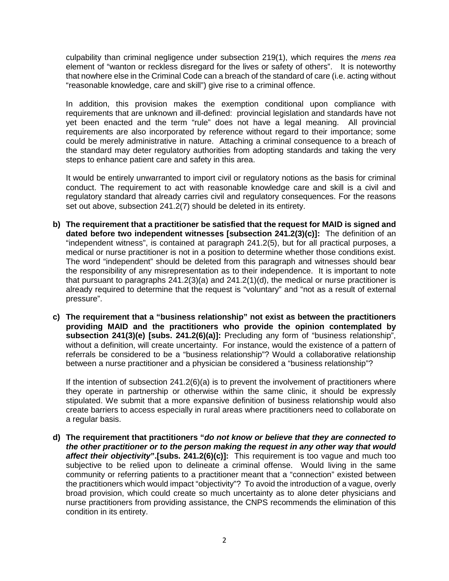culpability than criminal negligence under subsection 219(1), which requires the *mens rea*  element of "wanton or reckless disregard for the lives or safety of others". It is noteworthy that nowhere else in the Criminal Code can a breach of the standard of care (i.e. acting without "reasonable knowledge, care and skill") give rise to a criminal offence.

In addition, this provision makes the exemption conditional upon compliance with requirements that are unknown and ill-defined: provincial legislation and standards have not yet been enacted and the term "rule" does not have a legal meaning. All provincial requirements are also incorporated by reference without regard to their importance; some could be merely administrative in nature. Attaching a criminal consequence to a breach of the standard may deter regulatory authorities from adopting standards and taking the very steps to enhance patient care and safety in this area.

It would be entirely unwarranted to import civil or regulatory notions as the basis for criminal conduct. The requirement to act with reasonable knowledge care and skill is a civil and regulatory standard that already carries civil and regulatory consequences. For the reasons set out above, subsection 241.2(7) should be deleted in its entirety.

- **b) The requirement that a practitioner be satisfied that the request for MAID is signed and dated before two independent witnesses [subsection 241.2(3)(c)]:** The definition of an "independent witness", is contained at paragraph 241.2(5), but for all practical purposes, a medical or nurse practitioner is not in a position to determine whether those conditions exist. The word "independent" should be deleted from this paragraph and witnesses should bear the responsibility of any misrepresentation as to their independence. It is important to note that pursuant to paragraphs 241.2(3)(a) and 241.2(1)(d), the medical or nurse practitioner is already required to determine that the request is "voluntary" and "not as a result of external pressure".
- **c) The requirement that a "business relationship" not exist as between the practitioners providing MAID and the practitioners who provide the opinion contemplated by subsection 241(3)(e) [subs. 241.2(6)(a)]:** Precluding any form of "business relationship", without a definition, will create uncertainty. For instance, would the existence of a pattern of referrals be considered to be a "business relationship"? Would a collaborative relationship between a nurse practitioner and a physician be considered a "business relationship"?

If the intention of subsection  $241.2(6)(a)$  is to prevent the involvement of practitioners where they operate in partnership or otherwise within the same clinic, it should be expressly stipulated. We submit that a more expansive definition of business relationship would also create barriers to access especially in rural areas where practitioners need to collaborate on a regular basis.

**d) The requirement that practitioners "***do not know or believe that they are connected to the other practitioner or to the person making the request in any other way that would affect their objectivity***".[subs. 241.2(6)(c)]:** This requirement is too vague and much too subjective to be relied upon to delineate a criminal offense. Would living in the same community or referring patients to a practitioner meant that a "connection" existed between the practitioners which would impact "objectivity"? To avoid the introduction of a vague, overly broad provision, which could create so much uncertainty as to alone deter physicians and nurse practitioners from providing assistance, the CNPS recommends the elimination of this condition in its entirety.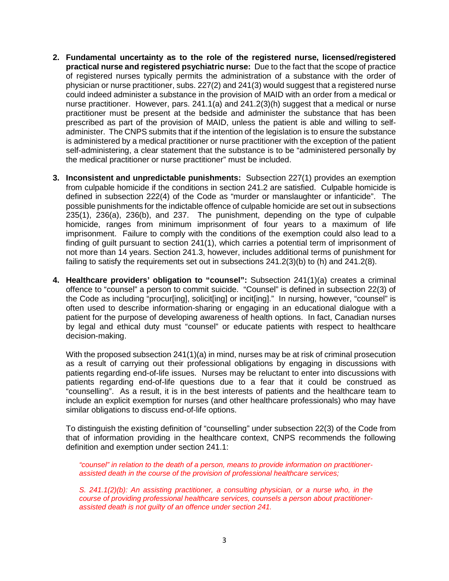- **2. Fundamental uncertainty as to the role of the registered nurse, licensed/registered practical nurse and registered psychiatric nurse:** Due to the fact that the scope of practice of registered nurses typically permits the administration of a substance with the order of physician or nurse practitioner, subs. 227(2) and 241(3) would suggest that a registered nurse could indeed administer a substance in the provision of MAID with an order from a medical or nurse practitioner. However, pars. 241.1(a) and 241.2(3)(h) suggest that a medical or nurse practitioner must be present at the bedside and administer the substance that has been prescribed as part of the provision of MAID, unless the patient is able and willing to selfadminister. The CNPS submits that if the intention of the legislation is to ensure the substance is administered by a medical practitioner or nurse practitioner with the exception of the patient self-administering, a clear statement that the substance is to be "administered personally by the medical practitioner or nurse practitioner" must be included.
- **3. Inconsistent and unpredictable punishments:** Subsection 227(1) provides an exemption from culpable homicide if the conditions in section 241.2 are satisfied. Culpable homicide is defined in subsection 222(4) of the Code as "murder or manslaughter or infanticide". The possible punishments for the indictable offence of culpable homicide are set out in subsections 235(1), 236(a), 236(b), and 237. The punishment, depending on the type of culpable homicide, ranges from minimum imprisonment of four years to a maximum of life imprisonment. Failure to comply with the conditions of the exemption could also lead to a finding of guilt pursuant to section 241(1), which carries a potential term of imprisonment of not more than 14 years. Section 241.3, however, includes additional terms of punishment for failing to satisfy the requirements set out in subsections 241.2(3)(b) to (h) and 241.2(8).
- **4. Healthcare providers' obligation to "counsel":** Subsection 241(1)(a) creates a criminal offence to "counsel" a person to commit suicide. "Counsel" is defined in subsection 22(3) of the Code as including "procur[ing], solicit[ing] or incit[ing]." In nursing, however, "counsel" is often used to describe information-sharing or engaging in an educational dialogue with a patient for the purpose of developing awareness of health options. In fact, Canadian nurses by legal and ethical duty must "counsel" or educate patients with respect to healthcare decision-making.

With the proposed subsection 241(1)(a) in mind, nurses may be at risk of criminal prosecution as a result of carrying out their professional obligations by engaging in discussions with patients regarding end-of-life issues. Nurses may be reluctant to enter into discussions with patients regarding end-of-life questions due to a fear that it could be construed as "counselling". As a result, it is in the best interests of patients and the healthcare team to include an explicit exemption for nurses (and other healthcare professionals) who may have similar obligations to discuss end-of-life options.

To distinguish the existing definition of "counselling" under subsection 22(3) of the Code from that of information providing in the healthcare context, CNPS recommends the following definition and exemption under section 241.1:

*"counsel" in relation to the death of a person, means to provide information on practitionerassisted death in the course of the provision of professional healthcare services;*

*S. 241.1(2)(b): An assisting practitioner, a consulting physician, or a nurse who, in the course of providing professional healthcare services, counsels a person about practitionerassisted death is not guilty of an offence under section 241.*